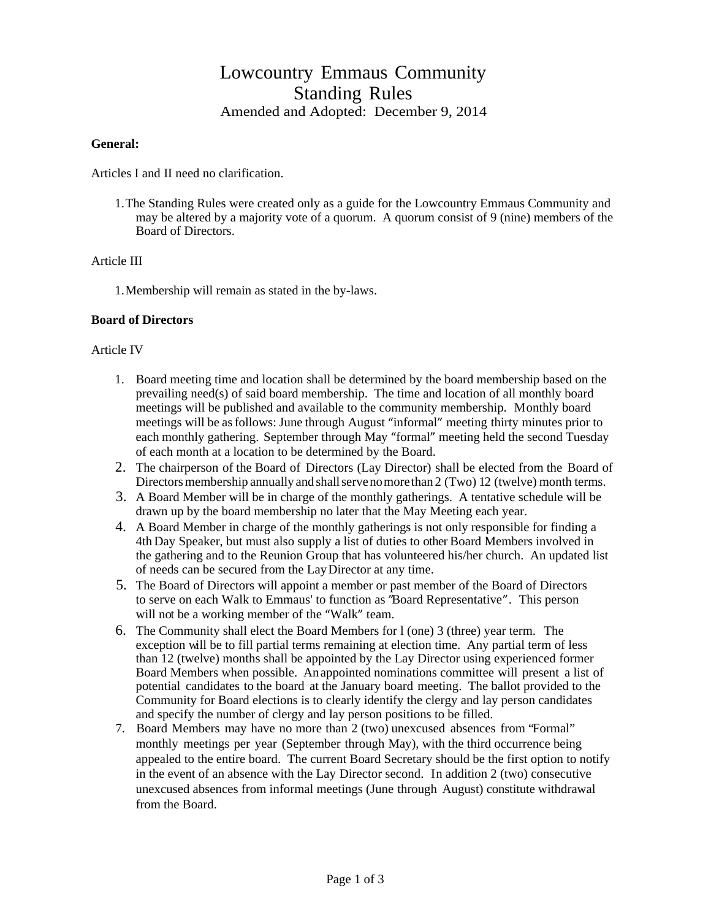# Lowcountry Emmaus Community Standing Rules Amended and Adopted: December 9, 2014

#### **General:**

Articles I and II need no clarification.

1.The Standing Rules were created only as a guide for the Lowcountry Emmaus Community and may be altered by a majority vote of a quorum. A quorum consist of 9 (nine) members of the Board of Directors.

## Article III

1.Membership will remain as stated in the by-laws.

#### **Board of Directors**

#### Article IV

- 1. Board meeting time and location shall be determined by the board membership based on the prevailing need(s) of said board membership. The time and location of all monthly board meetings will be published and available to the community membership. Monthly board meetings will be as follows: June through August "informal" meeting thirty minutes prior to each monthly gathering. September through May "formal" meeting held the second Tuesday of each month at a location to be determined by the Board.
- 2. The chairperson of the Board of Directors (Lay Director) shall be elected from the Board of Directors membership annually and shall serve no more than 2 (Two) 12 (twelve) month terms.
- 3. A Board Member will be in charge of the monthly gatherings. A tentative schedule will be drawn up by the board membership no later that the May Meeting each year.
- 4. A Board Member in charge of the monthly gatherings is not only responsible for finding a 4th Day Speaker, but must also supply a list of duties to other Board Members involved in the gathering and to the Reunion Group that has volunteered his/her church. An updated list of needs can be secured from the Lay Director at any time.
- 5. The Board of Directors will appoint a member or past member of the Board of Directors to serve on each Walk to Emmaus' to function as "Board Representative". This person will not be a working member of the "Walk" team.
- 6. The Community shall elect the Board Members for l (one) 3 (three) year term. The exception will be to fill partial terms remaining at election time. Any partial term of less than 12 (twelve) months shall be appointed by the Lay Director using experienced former Board Members when possible. An appointed nominations committee will present a list of potential candidates to the board at the January board meeting. The ballot provided to the Community for Board elections is to clearly identify the clergy and lay person candidates and specify the number of clergy and lay person positions to be filled.
- 7. Board Members may have no more than 2 (two) unexcused absences from "Formal" monthly meetings per year (September through May), with the third occurrence being appealed to the entire board. The current Board Secretary should be the first option to notify in the event of an absence with the Lay Director second. In addition 2 (two) consecutive unexcused absences from informal meetings (June through August) constitute withdrawal from the Board.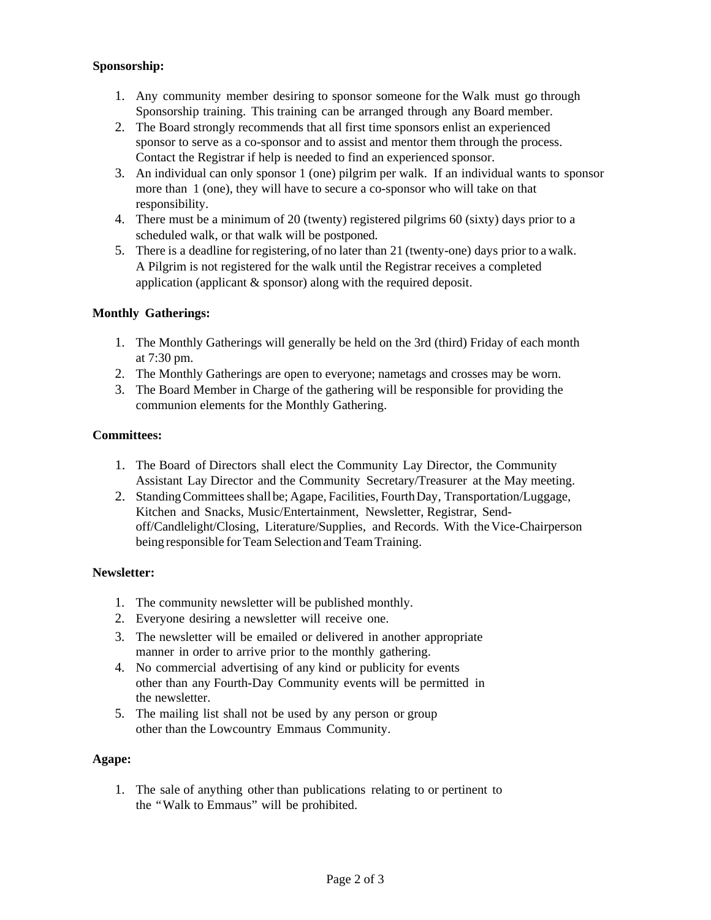## **Sponsorship:**

- 1. Any community member desiring to sponsor someone for the Walk must go through Sponsorship training. This training can be arranged through any Board member.
- 2. The Board strongly recommends that all first time sponsors enlist an experienced sponsor to serve as a co-sponsor and to assist and mentor them through the process. Contact the Registrar if help is needed to find an experienced sponsor.
- 3. An individual can only sponsor 1 (one) pilgrim per walk. If an individual wants to sponsor more than 1 (one), they will have to secure a co-sponsor who will take on that responsibility.
- 4. There must be a minimum of 20 (twenty) registered pilgrims 60 (sixty) days prior to a scheduled walk, or that walk will be postponed.
- 5. There is a deadline for registering, of no later than 21 (twenty-one) days prior to a walk. A Pilgrim is not registered for the walk until the Registrar receives a completed application (applicant & sponsor) along with the required deposit.

# **Monthly Gatherings:**

- 1. The Monthly Gatherings will generally be held on the 3rd (third) Friday of each month at 7:30 pm.
- 2. The Monthly Gatherings are open to everyone; nametags and crosses may be worn.
- 3. The Board Member in Charge of the gathering will be responsible for providing the communion elements for the Monthly Gathering.

## **Committees:**

- 1. The Board of Directors shall elect the Community Lay Director, the Community Assistant Lay Director and the Community Secretary/Treasurer at the May meeting.
- 2. Standing Committees shall be; Agape, Facilities, Fourth Day, Transportation/Luggage, Kitchen and Snacks, Music/Entertainment, Newsletter, Registrar, Sendoff/Candlelight/Closing, Literature/Supplies, and Records. With the Vice-Chairperson being responsible for Team Selection and Team Training.

## **Newsletter:**

- 1. The community newsletter will be published monthly.
- 2. Everyone desiring a newsletter will receive one.
- 3. The newsletter will be emailed or delivered in another appropriate manner in order to arrive prior to the monthly gathering.
- 4. No commercial advertising of any kind or publicity for events other than any Fourth-Day Community events will be permitted in the newsletter.
- 5. The mailing list shall not be used by any person or group other than the Lowcountry Emmaus Community.

## **Agape:**

1. The sale of anything other than publications relating to or pertinent to the "Walk to Emmaus" will be prohibited.